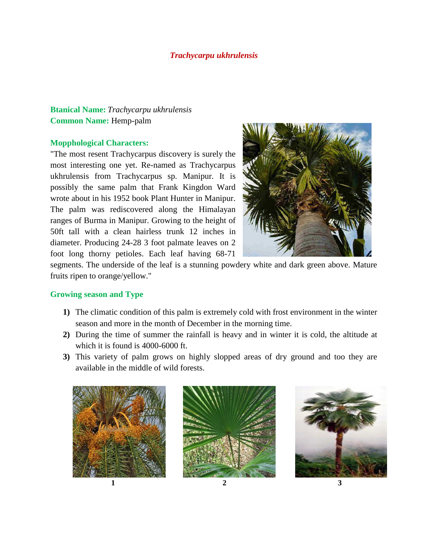## *Trachycarpu ukhrulensis*

## **Btanical Name:** *Trachycarpu ukhrulensis* **Common Name:** Hemp-palm

## **Mopphological Characters:**

"The most resent Trachycarpus discovery is surely the most interesting one yet. Re-named as Trachycarpus ukhrulensis from Trachycarpus sp. Manipur. It is possibly the same palm that Frank Kingdon Ward wrote about in his 1952 book Plant Hunter in Manipur. The palm was rediscovered along the Himalayan ranges of Burma in Manipur. Growing to the height of 50ft tall with a clean hairless trunk 12 inches in diameter. Producing 24-28 3 foot palmate leaves on 2 foot long thorny petioles. Each leaf having 68-71



segments. The underside of the leaf is a stunning powdery white and dark green above. Mature fruits ripen to orange/yellow."

## **Growing season and Type**

- **1)** The climatic condition of this palm is extremely cold with frost environment in the winter season and more in the month of December in the morning time.
- **2)** During the time of summer the rainfall is heavy and in winter it is cold, the altitude at which it is found is 4000-6000 ft.
- **3)** This variety of palm grows on highly slopped areas of dry ground and too they are available in the middle of wild forests.